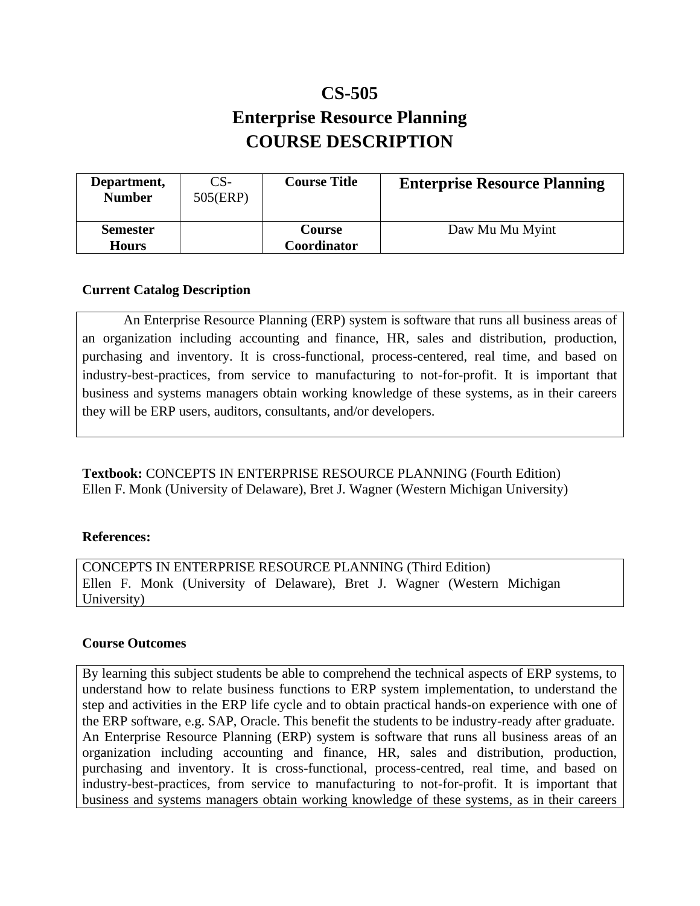# **CS-505 Enterprise Resource Planning COURSE DESCRIPTION**

| Department,<br><b>Number</b>    | CS-<br>505(ERP) | <b>Course Title</b>   | <b>Enterprise Resource Planning</b> |
|---------------------------------|-----------------|-----------------------|-------------------------------------|
| <b>Semester</b><br><b>Hours</b> |                 | Course<br>Coordinator | Daw Mu Mu Myint                     |

# **Current Catalog Description**

An Enterprise Resource Planning (ERP) system is software that runs all business areas of an organization including accounting and finance, HR, sales and distribution, production, purchasing and inventory. It is cross-functional, process-centered, real time, and based on industry-best-practices, from service to manufacturing to not-for-profit. It is important that business and systems managers obtain working knowledge of these systems, as in their careers they will be ERP users, auditors, consultants, and/or developers.

**Textbook:** CONCEPTS IN ENTERPRISE RESOURCE PLANNING (Fourth Edition) Ellen F. Monk (University of Delaware), Bret J. Wagner (Western Michigan University)

#### **References:**

CONCEPTS IN ENTERPRISE RESOURCE PLANNING (Third Edition) Ellen F. Monk (University of Delaware), Bret J. Wagner (Western Michigan University)

#### **Course Outcomes**

By learning this subject students be able to comprehend the technical aspects of ERP systems, to understand how to relate business functions to ERP system implementation, to understand the step and activities in the ERP life cycle and to obtain practical hands-on experience with one of the ERP software, e.g. SAP, Oracle. This benefit the students to be industry-ready after graduate. An Enterprise Resource Planning (ERP) system is software that runs all business areas of an organization including accounting and finance, HR, sales and distribution, production, purchasing and inventory. It is cross-functional, process-centred, real time, and based on industry-best-practices, from service to manufacturing to not-for-profit. It is important that business and systems managers obtain working knowledge of these systems, as in their careers